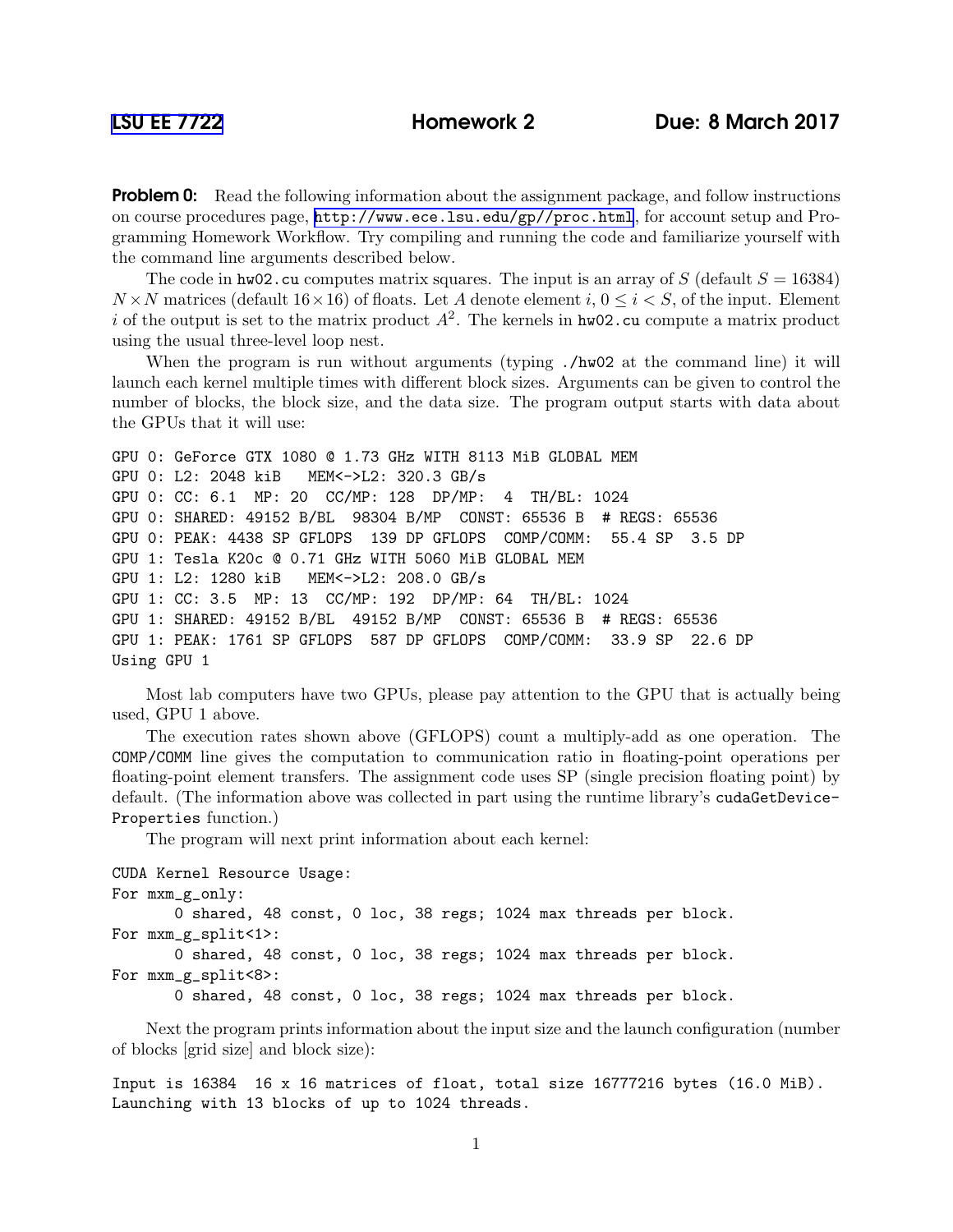**Problem 0:** Read the following information about the assignment package, and follow instructions on course procedures page, <http://www.ece.lsu.edu/gp//proc.html>, for account setup and Programming Homework Workflow. Try compiling and running the code and familiarize yourself with the command line arguments described below.

The code in hw02.cu computes matrix squares. The input is an array of S (default  $S = 16384$ )  $N \times N$  matrices (default  $16 \times 16$ ) of floats. Let A denote element i,  $0 \le i \le S$ , of the input. Element i of the output is set to the matrix product  $A^2$ . The kernels in hw02.cu compute a matrix product using the usual three-level loop nest.

When the program is run without arguments (typing  $\lambda$ hw02 at the command line) it will launch each kernel multiple times with different block sizes. Arguments can be given to control the number of blocks, the block size, and the data size. The program output starts with data about the GPUs that it will use:

```
GPU 0: GeForce GTX 1080 @ 1.73 GHz WITH 8113 MiB GLOBAL MEM
GPU 0: L2: 2048 kiB MEM<->L2: 320.3 GB/s
GPU 0: CC: 6.1 MP: 20 CC/MP: 128 DP/MP: 4 TH/BL: 1024
GPU 0: SHARED: 49152 B/BL 98304 B/MP CONST: 65536 B # REGS: 65536
GPU 0: PEAK: 4438 SP GFLOPS 139 DP GFLOPS COMP/COMM: 55.4 SP 3.5 DP
GPU 1: Tesla K20c @ 0.71 GHz WITH 5060 MiB GLOBAL MEM
GPU 1: L2: 1280 kiB MEM<->L2: 208.0 GB/s
GPU 1: CC: 3.5 MP: 13 CC/MP: 192 DP/MP: 64 TH/BL: 1024
GPU 1: SHARED: 49152 B/BL 49152 B/MP CONST: 65536 B # REGS: 65536
GPU 1: PEAK: 1761 SP GFLOPS 587 DP GFLOPS COMP/COMM: 33.9 SP 22.6 DP
Using GPU 1
```
Most lab computers have two GPUs, please pay attention to the GPU that is actually being used, GPU 1 above.

The execution rates shown above (GFLOPS) count a multiply-add as one operation. The COMP/COMM line gives the computation to communication ratio in floating-point operations per floating-point element transfers. The assignment code uses SP (single precision floating point) by default. (The information above was collected in part using the runtime library's cudaGetDevice-Properties function.)

The program will next print information about each kernel:

```
CUDA Kernel Resource Usage:
For mxm_g_only:
       0 shared, 48 const, 0 loc, 38 regs; 1024 max threads per block.
For mxm_g_split<1>:
       0 shared, 48 const, 0 loc, 38 regs; 1024 max threads per block.
For mxm_g_split<8>:
       0 shared, 48 const, 0 loc, 38 regs; 1024 max threads per block.
```
Next the program prints information about the input size and the launch configuration (number of blocks [grid size] and block size):

Input is 16384 16 x 16 matrices of float, total size 16777216 bytes (16.0 MiB). Launching with 13 blocks of up to 1024 threads.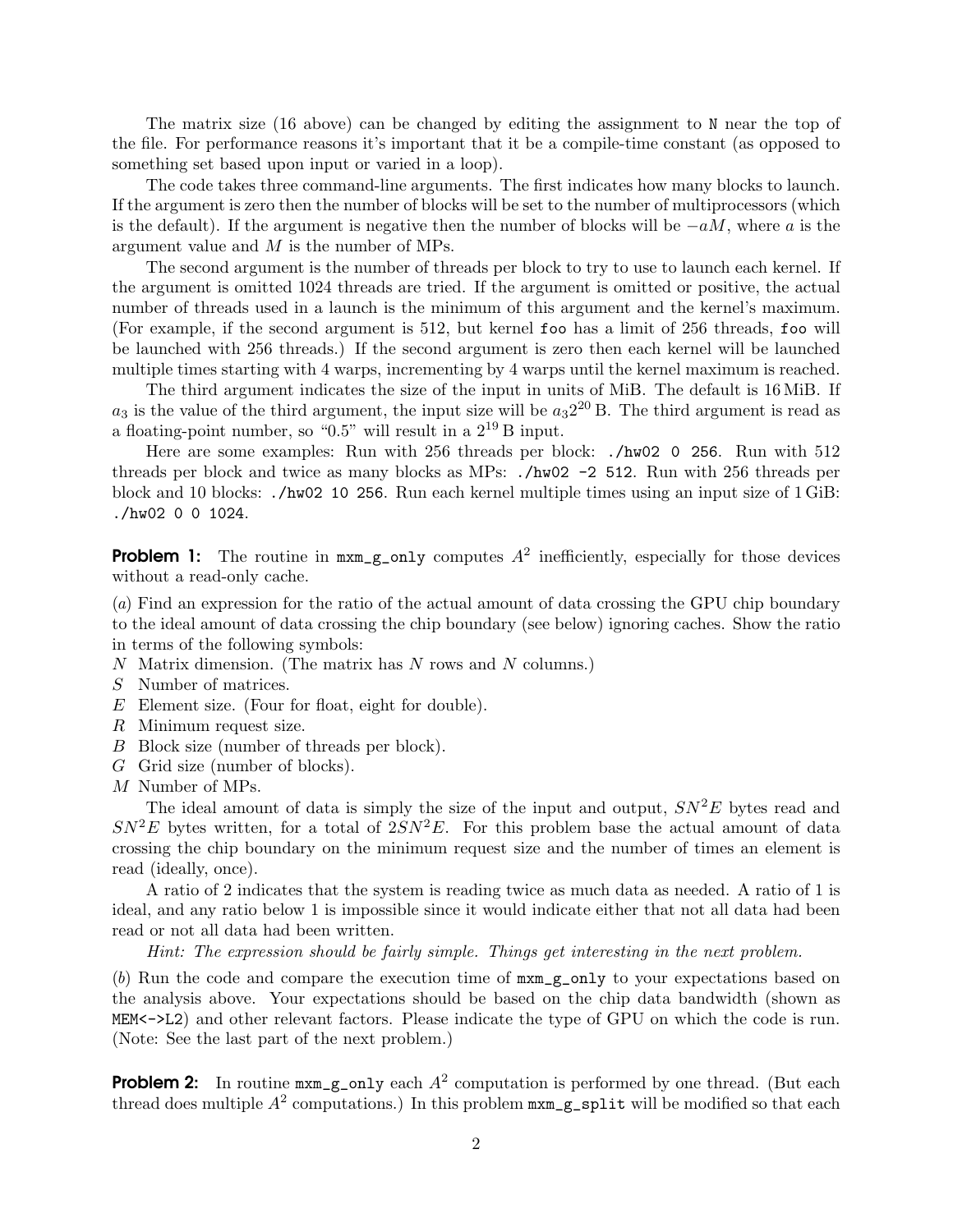The matrix size (16 above) can be changed by editing the assignment to N near the top of the file. For performance reasons it's important that it be a compile-time constant (as opposed to something set based upon input or varied in a loop).

The code takes three command-line arguments. The first indicates how many blocks to launch. If the argument is zero then the number of blocks will be set to the number of multiprocessors (which is the default). If the argument is negative then the number of blocks will be  $-aM$ , where a is the argument value and M is the number of MPs.

The second argument is the number of threads per block to try to use to launch each kernel. If the argument is omitted 1024 threads are tried. If the argument is omitted or positive, the actual number of threads used in a launch is the minimum of this argument and the kernel's maximum. (For example, if the second argument is 512, but kernel foo has a limit of 256 threads, foo will be launched with 256 threads.) If the second argument is zero then each kernel will be launched multiple times starting with 4 warps, incrementing by 4 warps until the kernel maximum is reached.

The third argument indicates the size of the input in units of MiB. The default is 16 MiB. If  $a_3$  is the value of the third argument, the input size will be  $a_3 2^{20}$  B. The third argument is read as a floating-point number, so "0.5" will result in a  $2^{19}$  B input.

Here are some examples: Run with 256 threads per block: ./hw02 0 256. Run with 512 threads per block and twice as many blocks as MPs: ./hw02 -2 512. Run with 256 threads per block and 10 blocks: ./hw02 10 256. Run each kernel multiple times using an input size of 1 GiB: ./hw02 0 0 1024.

**Problem 1:** The routine in  $max_{g\_only}$  computes  $A^2$  inefficiently, especially for those devices without a read-only cache.

(*a*) Find an expression for the ratio of the actual amount of data crossing the GPU chip boundary to the ideal amount of data crossing the chip boundary (see below) ignoring caches. Show the ratio in terms of the following symbols:

- $N$  Matrix dimension. (The matrix has  $N$  rows and  $N$  columns.)
- S Number of matrices.
- E Element size. (Four for float, eight for double).
- R Minimum request size.
- B Block size (number of threads per block).
- G Grid size (number of blocks).
- M Number of MPs.

The ideal amount of data is simply the size of the input and output,  $SN<sup>2</sup>E$  bytes read and  $SN<sup>2</sup>E$  bytes written, for a total of  $2SN<sup>2</sup>E$ . For this problem base the actual amount of data crossing the chip boundary on the minimum request size and the number of times an element is read (ideally, once).

A ratio of 2 indicates that the system is reading twice as much data as needed. A ratio of 1 is ideal, and any ratio below 1 is impossible since it would indicate either that not all data had been read or not all data had been written.

*Hint: The expression should be fairly simple. Things get interesting in the next problem.*

(*b*) Run the code and compare the execution time of mxm\_g\_only to your expectations based on the analysis above. Your expectations should be based on the chip data bandwidth (shown as MEM<->L2) and other relevant factors. Please indicate the type of GPU on which the code is run. (Note: See the last part of the next problem.)

**Problem 2:** In routine  $max_{\mathbf{g}\in\mathbf{g}}$  only each  $A^2$  computation is performed by one thread. (But each thread does multiple  $A^2$  computations.) In this problem  $\text{maxm\_g\_split}$  will be modified so that each